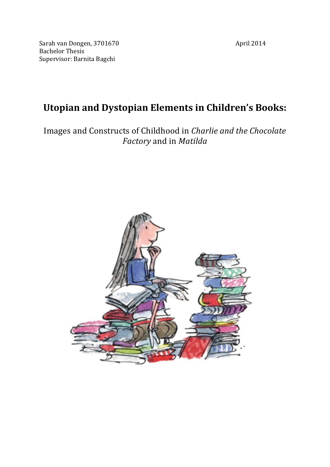Sarah van Dongen, 3701670 **April 2014** April 2014 **Bachelor Thesis** Supervisor: Barnita Bagchi

# Utopian and Dystopian Elements in Children's Books:

Images and Constructs of Childhood in *Charlie and the Chocolate Factory* and in *Matilda* 

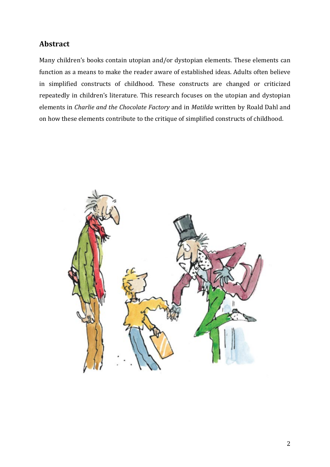## **Abstract(**

Many children's books contain utopian and/or dystopian elements. These elements can function as a means to make the reader aware of established ideas. Adults often believe in simplified constructs of childhood. These constructs are changed or criticized repeatedly in children's literature. This research focuses on the utopian and dystopian elements in *Charlie and the Chocolate Factory* and in *Matilda* written by Roald Dahl and on how these elements contribute to the critique of simplified constructs of childhood.

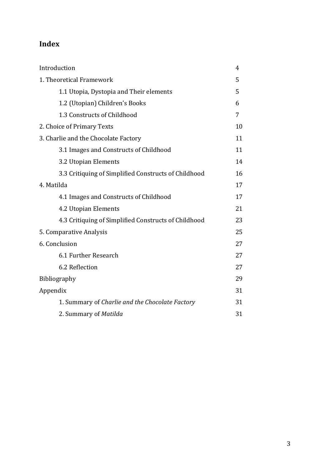# **Index**

| Introduction                                         | 4  |
|------------------------------------------------------|----|
| 1. Theoretical Framework                             | 5  |
| 1.1 Utopia, Dystopia and Their elements              | 5  |
| 1.2 (Utopian) Children's Books                       | 6  |
| 1.3 Constructs of Childhood                          | 7  |
| 2. Choice of Primary Texts                           | 10 |
| 3. Charlie and the Chocolate Factory                 | 11 |
| 3.1 Images and Constructs of Childhood               | 11 |
| 3.2 Utopian Elements                                 | 14 |
| 3.3 Critiquing of Simplified Constructs of Childhood | 16 |
| 4. Matilda                                           | 17 |
| 4.1 Images and Constructs of Childhood               | 17 |
| 4.2 Utopian Elements                                 | 21 |
| 4.3 Critiquing of Simplified Constructs of Childhood | 23 |
| 5. Comparative Analysis                              | 25 |
| 6. Conclusion                                        | 27 |
| 6.1 Further Research                                 | 27 |
| 6.2 Reflection                                       | 27 |
| <b>Bibliography</b>                                  | 29 |
| Appendix                                             | 31 |
| 1. Summary of Charlie and the Chocolate Factory      | 31 |
| 2. Summary of Matilda                                | 31 |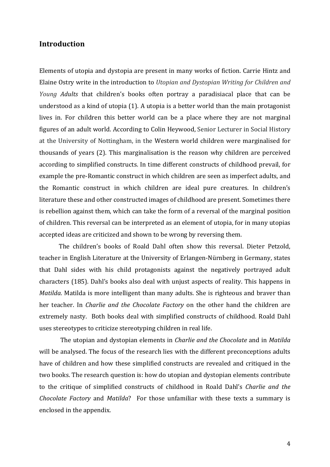## **Introduction**

Elements of utopia and dystopia are present in many works of fiction. Carrie Hintz and Elaine%Ostry%write%in%the%introduction%to%*Utopian(and(Dystopian(Writing(for(Children(and( Young Adults* that children's books often portray a paradisiacal place that can be understood as a kind of utopia (1). A utopia is a better world than the main protagonist lives in. For children this better world can be a place where they are not marginal figures of an adult world. According to Colin Heywood, Senior Lecturer in Social History at the University of Nottingham, in the Western world children were marginalised for thousands of years (2). This marginalisation is the reason why children are perceived according to simplified constructs. In time different constructs of childhood prevail, for example the pre-Romantic construct in which children are seen as imperfect adults, and the Romantic construct in which children are ideal pure creatures. In children's literature these and other constructed images of childhood are present. Sometimes there is rebellion against them, which can take the form of a reversal of the marginal position of children. This reversal can be interpreted as an element of utopia, for in many utopias accepted ideas are criticized and shown to be wrong by reversing them.

The children's books of Roald Dahl often show this reversal. Dieter Petzold, teacher in English Literature at the University of Erlangen-Nürnberg in Germany, states that Dahl sides with his child protagonists against the negatively portrayed adult characters (185). Dahl's books also deal with unjust aspects of reality. This happens in *Matilda*. Matilda is more intelligent than many adults. She is righteous and braver than her teacher. In *Charlie and the Chocolate Factory* on the other hand the children are extremely nasty. Both books deal with simplified constructs of childhood. Roald Dahl uses stereotypes to criticize stereotyping children in real life.

The utopian and dystopian elements in *Charlie and the Chocolate* and in *Matilda* will be analysed. The focus of the research lies with the different preconceptions adults have of children and how these simplified constructs are revealed and critiqued in the two books. The research question is: how do utopian and dystopian elements contribute to the critique of simplified constructs of childhood in Roald Dahl's *Charlie and the Chocolate Factory* and *Matilda*? For those unfamiliar with these texts a summary is enclosed in the appendix.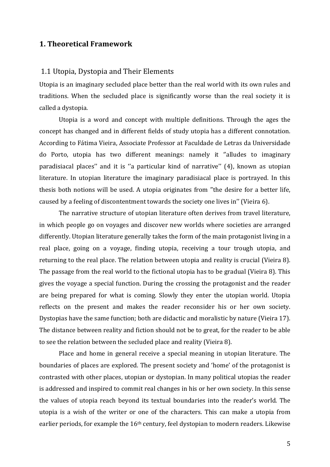## **1. Theoretical Framework**

#### 1.1 Utopia, Dystopia and Their Elements

Utopia is an imaginary secluded place better than the real world with its own rules and traditions. When the secluded place is significantly worse than the real society it is called a dystopia.

Utopia is a word and concept with multiple definitions. Through the ages the concept has changed and in different fields of study utopia has a different connotation. According to Fátima Vieira, Associate Professor at Faculdade de Letras da Universidade do Porto, utopia has two different meanings: namely it "alludes to imaginary" paradisiacal places" and it is "a particular kind of narrative" (4), known as utopian literature. In utopian literature the imaginary paradisiacal place is portrayed. In this thesis both notions will be used. A utopia originates from "the desire for a better life, caused by a feeling of discontentment towards the society one lives in" (Vieira 6).

The narrative structure of utopian literature often derives from travel literature, in which people go on voyages and discover new worlds where societies are arranged differently. Utopian literature generally takes the form of the main protagonist living in a real place, going on a voyage, finding utopia, receiving a tour trough utopia, and returning to the real place. The relation between utopia and reality is crucial (Vieira 8). The passage from the real world to the fictional utopia has to be gradual (Vieira 8). This gives the voyage a special function. During the crossing the protagonist and the reader are being prepared for what is coming. Slowly they enter the utopian world. Utopia reflects on the present and makes the reader reconsider his or her own society. Dystopias have the same function; both are didactic and moralistic by nature (Vieira 17). The distance between reality and fiction should not be to great, for the reader to be able to see the relation between the secluded place and reality (Vieira 8).

Place and home in general receive a special meaning in utopian literature. The boundaries of places are explored. The present society and 'home' of the protagonist is contrasted with other places, utopian or dystopian. In many political utopias the reader is addressed and inspired to commit real changes in his or her own society. In this sense the values of utopia reach beyond its textual boundaries into the reader's world. The utopia is a wish of the writer or one of the characters. This can make a utopia from earlier periods, for example the  $16<sup>th</sup>$  century, feel dystopian to modern readers. Likewise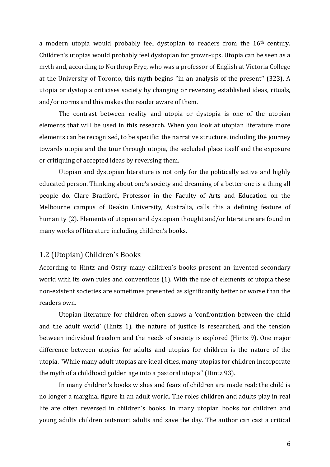a modern utopia would probably feel dystopian to readers from the  $16<sup>th</sup>$  century. Children's utopias would probably feel dystopian for grown-ups. Utopia can be seen as a myth and, according to Northrop Frye, who was a professor of English at Victoria College at the University of Toronto, this myth begins "in an analysis of the present" (323). A utopia or dystopia criticises society by changing or reversing established ideas, rituals, and/or norms and this makes the reader aware of them.

The contrast between reality and utopia or dystopia is one of the utopian elements that will be used in this research. When you look at utopian literature more elements can be recognized, to be specific: the narrative structure, including the journey towards utopia and the tour through utopia, the secluded place itself and the exposure or critiquing of accepted ideas by reversing them.

Utopian and dystopian literature is not only for the politically active and highly educated person. Thinking about one's society and dreaming of a better one is a thing all people do. Clare Bradford, Professor in the Faculty of Arts and Education on the Melbourne campus of Deakin University, Australia, calls this a defining feature of humanity (2). Elements of utopian and dystopian thought and/or literature are found in many works of literature including children's books.

#### 1.2 (Utopian) Children's Books

According to Hintz and Ostry many children's books present an invented secondary world with its own rules and conventions (1). With the use of elements of utopia these non-existent societies are sometimes presented as significantly better or worse than the readers own.

Utopian literature for children often shows a 'confrontation between the child and the adult world' (Hintz 1), the nature of justice is researched, and the tension between individual freedom and the needs of society is explored (Hintz 9). One major difference between utopias for adults and utopias for children is the nature of the utopia. "While many adult utopias are ideal cities, many utopias for children incorporate the myth of a childhood golden age into a pastoral utopia'' (Hintz 93).

In many children's books wishes and fears of children are made real: the child is no longer a marginal figure in an adult world. The roles children and adults play in real life are often reversed in children's books. In many utopian books for children and young adults children outsmart adults and save the day. The author can cast a critical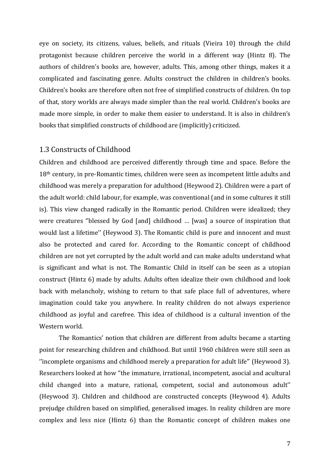eye on society, its citizens, values, beliefs, and rituals (Vieira 10) through the child protagonist because children perceive the world in a different way (Hintz 8). The authors of children's books are, however, adults. This, among other things, makes it a complicated and fascinating genre. Adults construct the children in children's books. Children's books are therefore often not free of simplified constructs of children. On top of that, story worlds are always made simpler than the real world. Children's books are made more simple, in order to make them easier to understand. It is also in children's books that simplified constructs of childhood are (implicitly) criticized.

## 1.3 Constructs of Childhood

Children and childhood are perceived differently through time and space. Before the  $18<sup>th</sup>$  century, in pre-Romantic times, children were seen as incompetent little adults and childhood was merely a preparation for adulthood (Heywood 2). Children were a part of the adult world: child labour, for example, was conventional (and in some cultures it still is). This view changed radically in the Romantic period. Children were idealized; they were creatures "blessed by God [and] childhood ... [was] a source of inspiration that would last a lifetime" (Heywood 3). The Romantic child is pure and innocent and must also be protected and cared for. According to the Romantic concept of childhood children are not yet corrupted by the adult world and can make adults understand what is significant and what is not. The Romantic Child in itself can be seen as a utopian construct (Hintz 6) made by adults. Adults often idealize their own childhood and look back with melancholy, wishing to return to that safe place full of adventures, where imagination could take you anywhere. In reality children do not always experience childhood as joyful and carefree. This idea of childhood is a cultural invention of the Western world.

The Romantics' notion that children are different from adults became a starting point for researching children and childhood. But until 1960 children were still seen as "incomplete organisms and childhood merely a preparation for adult life" (Heywood 3). Researchers looked at how "the immature, irrational, incompetent, asocial and acultural child changed into a mature, rational, competent, social and autonomous adult" (Heywood 3). Children and childhood are constructed concepts (Heywood 4). Adults prejudge children based on simplified, generalised images. In reality children are more complex and less nice (Hintz 6) than the Romantic concept of children makes one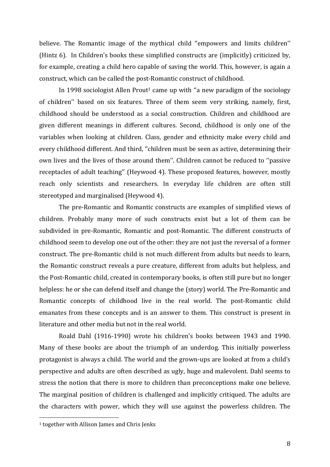believe. The Romantic image of the mythical child "empowers and limits children" (Hintz 6). In Children's books these simplified constructs are (implicitly) criticized by, for example, creating a child hero capable of saving the world. This, however, is again a construct, which can be called the post-Romantic construct of childhood.

In 1998 sociologist Allen Prout<sup>1</sup> came up with "a new paradigm of the sociology" of children" based on six features. Three of them seem very striking, namely, first, childhood should be understood as a social construction. Children and childhood are given different meanings in different cultures. Second, childhood is only one of the variables when looking at children. Class, gender and ethnicity make every child and every childhood different. And third, "children must be seen as active, determining their own lives and the lives of those around them". Children cannot be reduced to "passive" receptacles of adult teaching" (Heywood 4). These proposed features, however, mostly reach only scientists and researchers. In everyday life children are often still stereotyped and marginalised (Heywood 4).

The pre-Romantic and Romantic constructs are examples of simplified views of children. Probably many more of such constructs exist but a lot of them can be subdivided in pre-Romantic, Romantic and post-Romantic. The different constructs of childhood seem to develop one out of the other: they are not just the reversal of a former construct. The pre-Romantic child is not much different from adults but needs to learn, the Romantic construct reveals a pure creature, different from adults but helpless, and the Post-Romantic child, created in contemporary books, is often still pure but no longer helpless: he or she can defend itself and change the (story) world. The Pre-Romantic and Romantic concepts of childhood live in the real world. The post-Romantic child emanates from these concepts and is an answer to them. This construct is present in literature and other media but not in the real world.

Roald Dahl (1916-1990) wrote his children's books between 1943 and 1990. Many of these books are about the triumph of an underdog. This initially powerless protagonist is always a child. The world and the grown-ups are looked at from a child's perspective and adults are often described as ugly, huge and malevolent. Dahl seems to stress the notion that there is more to children than preconceptions make one believe. The marginal position of children is challenged and implicitly critiqued. The adults are the characters with power, which they will use against the powerless children. The

%%%%%%%%%%%%%%%%%%%%%%%%%%%%%%%%%%%%%%%%%%%%%%%%%%%%%%%

<sup>&</sup>lt;sup>1</sup> together with Allison James and Chris Jenks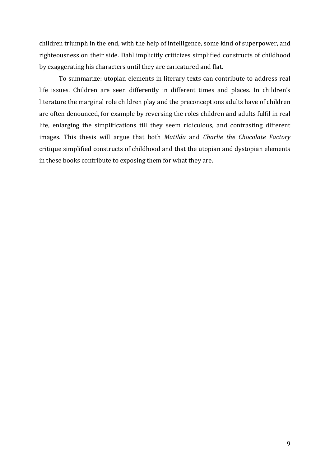children triumph in the end, with the help of intelligence, some kind of superpower, and righteousness on their side. Dahl implicitly criticizes simplified constructs of childhood by exaggerating his characters until they are caricatured and flat.

To summarize: utopian elements in literary texts can contribute to address real life issues. Children are seen differently in different times and places. In children's literature the marginal role children play and the preconceptions adults have of children are often denounced, for example by reversing the roles children and adults fulfil in real life, enlarging the simplifications till they seem ridiculous, and contrasting different images. This thesis will argue that both *Matilda* and *Charlie the Chocolate Factory* critique simplified constructs of childhood and that the utopian and dystopian elements in these books contribute to exposing them for what they are.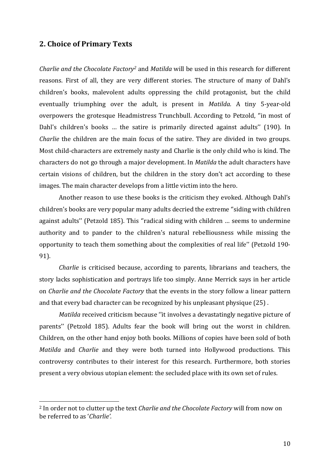## **2. Choice of Primary Texts**

%%%%%%%%%%%%%%%%%%%%%%%%%%%%%%%%%%%%%%%%%%%%%%%%%%%%%%%

*Charlie and the Chocolate Factory<sup>2</sup>* and *Matilda* will be used in this research for different reasons. First of all, they are very different stories. The structure of many of Dahl's children's books, malevolent adults oppressing the child protagonist, but the child eventually triumphing over the adult, is present in *Matilda*. A tiny 5-year-old overpowers the grotesque Headmistress Trunchbull. According to Petzold, "in most of Dahl's children's books ... the satire is primarily directed against adults" (190). In *Charlie* the children are the main focus of the satire. They are divided in two groups. Most child-characters are extremely nasty and Charlie is the only child who is kind. The characters do not go through a major development. In *Matilda* the adult characters have certain visions of children, but the children in the story don't act according to these images. The main character develops from a little victim into the hero.

Another reason to use these books is the criticism they evoked. Although Dahl's children's books are very popular many adults decried the extreme "siding with children" against adults" (Petzold 185). This "radical siding with children ... seems to undermine authority and to pander to the children's natural rebelliousness while missing the opportunity to teach them something about the complexities of real life" (Petzold 190-91).

*Charlie* is criticised because, according to parents, librarians and teachers, the story lacks sophistication and portrays life too simply. Anne Merrick says in her article on *Charlie and the Chocolate Factory* that the events in the story follow a linear pattern and that every bad character can be recognized by his unpleasant physique (25).

*Matilda* received criticism because "it involves a devastatingly negative picture of parents" (Petzold 185). Adults fear the book will bring out the worst in children. Children, on the other hand enjoy both books. Millions of copies have been sold of both *Matilda* and *Charlie* and they were both turned into Hollywood productions. This controversy contributes to their interest for this research. Furthermore, both stories present a very obvious utopian element: the secluded place with its own set of rules.

<sup>&</sup>lt;sup>2</sup> In order not to clutter up the text *Charlie and the Chocolate Factory* will from now on be%referred%to%as%'*Charlie'.*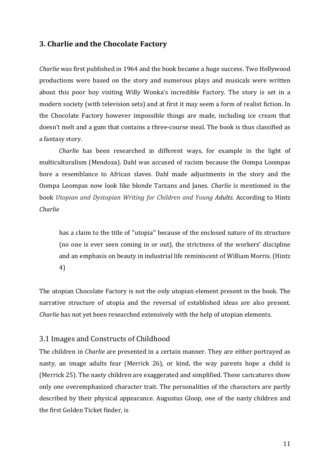## **3. Charlie and the Chocolate Factory**

*Charlie* was first published in 1964 and the book became a huge success. Two Hollywood productions were based on the story and numerous plays and musicals were written about this poor boy visiting Willy Wonka's incredible Factory. The story is set in a modern society (with television sets) and at first it may seem a form of realist fiction. In the Chocolate Factory however impossible things are made, including ice cream that doesn't melt and a gum that contains a three-course meal. The book is thus classified as a fantasy story.

*Charlie* has been researched in different ways, for example in the light of multiculturalism (Mendoza). Dahl was accused of racism because the Oompa Loompas bore a resemblance to African slaves. Dahl made adjustments in the story and the Oompa Loompas now look like blonde Tarzans and Janes. *Charlie* is mentioned in the book *Utopian and Dystopian Writing for Children and Young Adults.* According to Hintz *Charlie(*

has a claim to the title of "utopia" because of the enclosed nature of its structure (no one is ever seen coming in or out), the strictness of the workers' discipline and an emphasis on beauty in industrial life reminiscent of William Morris. (Hintz 4)

The utopian Chocolate Factory is not the only utopian element present in the book. The narrative structure of utopia and the reversal of established ideas are also present. *Charlie* has not yet been researched extensively with the help of utopian elements.

#### 3.1 Images and Constructs of Childhood

The children in *Charlie* are presented in a certain manner. They are either portrayed as nasty, an image adults fear (Merrick 26), or kind, the way parents hope a child is (Merrick 25). The nasty children are exaggerated and simplified. These caricatures show only one overemphasized character trait. The personalities of the characters are partly described by their physical appearance. Augustus Gloop, one of the nasty children and the first Golden Ticket finder, is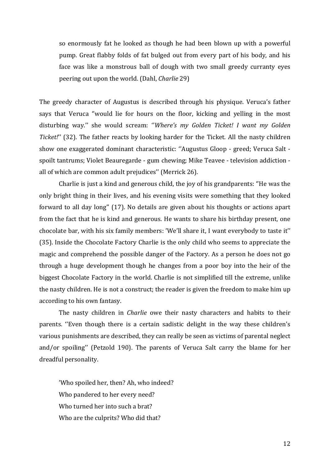so enormously fat he looked as though he had been blown up with a powerful pump. Great flabby folds of fat bulged out from every part of his body, and his face was like a monstrous ball of dough with two small greedy curranty eyes peering out upon the world. (Dahl, *Charlie* 29)

The greedy character of Augustus is described through his physique. Veruca's father says that Veruca "would lie for hours on the floor, kicking and yelling in the most disturbing way." she would scream: "*Where's my Golden Ticket! I want my Golden Ticket!''* (32). The father reacts by looking harder for the Ticket. All the nasty children show one exaggerated dominant characteristic: "Augustus Gloop - greed; Veruca Salt spoilt tantrums; Violet Beauregarde - gum chewing; Mike Teavee - television addiction all of which are common adult prejudices" (Merrick 26).

Charlie is just a kind and generous child, the joy of his grandparents: "He was the only bright thing in their lives, and his evening visits were something that they looked forward to all day long" (17). No details are given about his thoughts or actions apart from the fact that he is kind and generous. He wants to share his birthday present, one chocolate bar, with his six family members: 'We'll share it, I want everybody to taste it" (35). Inside the Chocolate Factory Charlie is the only child who seems to appreciate the magic and comprehend the possible danger of the Factory. As a person he does not go through a huge development though he changes from a poor boy into the heir of the biggest Chocolate Factory in the world. Charlie is not simplified till the extreme, unlike the nasty children. He is not a construct; the reader is given the freedom to make him up according to his own fantasy.

The nasty children in *Charlie* owe their nasty characters and habits to their parents. "Even though there is a certain sadistic delight in the way these children's various punishments are described, they can really be seen as victims of parental neglect and/or spoiling" (Petzold 190). The parents of Veruca Salt carry the blame for her dreadful personality.

'Who spoiled her, then? Ah, who indeed? Who pandered to her every need? Who turned her into such a brat? Who are the culprits? Who did that?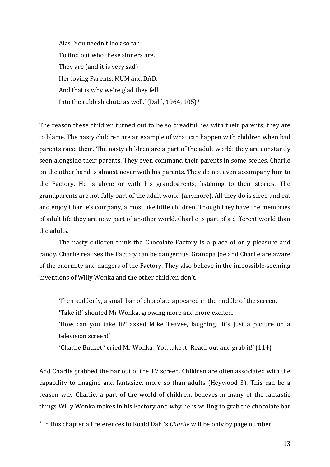Alas! You needn't look so far To find out who these sinners are. They are (and it is very sad) Her loving Parents, MUM and DAD. And that is why we're glad they fell Into the rubbish chute as well.' (Dahl, 1964, 105)<sup>3</sup>

The reason these children turned out to be so dreadful lies with their parents; they are to blame. The nasty children are an example of what can happen with children when bad parents raise them. The nasty children are a part of the adult world: they are constantly seen alongside their parents. They even command their parents in some scenes. Charlie on the other hand is almost never with his parents. They do not even accompany him to the Factory. He is alone or with his grandparents, listening to their stories. The grandparents are not fully part of the adult world (anymore). All they do is sleep and eat and enjoy Charlie's company, almost like little children. Though they have the memories of adult life they are now part of another world. Charlie is part of a different world than the adults.

The nasty children think the Chocolate Factory is a place of only pleasure and candy. Charlie realizes the Factory can be dangerous. Grandpa Joe and Charlie are aware of the enormity and dangers of the Factory. They also believe in the impossible-seeming inventions of Willy Wonka and the other children don't.

Then suddenly, a small bar of chocolate appeared in the middle of the screen.

'Take it!' shouted Mr Wonka, growing more and more excited.

'How can you take it?' asked Mike Teavee, laughing. 'It's just a picture on a television screen!'

'Charlie Bucket!' cried Mr Wonka. 'You take it! Reach out and grab it!' (114)

And Charlie grabbed the bar out of the TV screen. Children are often associated with the capability to imagine and fantasize, more so than adults (Heywood 3). This can be a reason why Charlie, a part of the world of children, believes in many of the fantastic things Willy Wonka makes in his Factory and why he is willing to grab the chocolate bar

%%%%%%%%%%%%%%%%%%%%%%%%%%%%%%%%%%%%%%%%%%%%%%%%%%%%%%%

<sup>&</sup>lt;sup>3</sup> In this chapter all references to Roald Dahl's *Charlie* will be only by page number.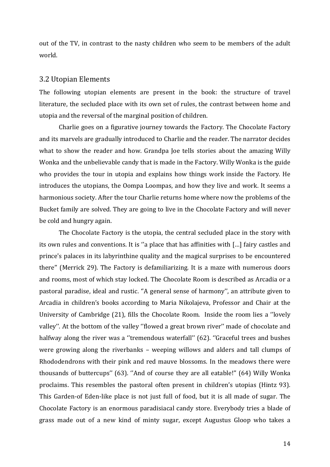out of the TV, in contrast to the nasty children who seem to be members of the adult world.

#### 3.2 Utopian Elements

The following utopian elements are present in the book: the structure of travel literature, the secluded place with its own set of rules, the contrast between home and utopia and the reversal of the marginal position of children.

Charlie goes on a figurative journey towards the Factory. The Chocolate Factory and its marvels are gradually introduced to Charlie and the reader. The narrator decides what to show the reader and how. Grandpa Joe tells stories about the amazing Willy Wonka and the unbelievable candy that is made in the Factory. Willy Wonka is the guide who provides the tour in utopia and explains how things work inside the Factory. He introduces the utopians, the Oompa Loompas, and how they live and work. It seems a harmonious society. After the tour Charlie returns home where now the problems of the Bucket family are solved. They are going to live in the Chocolate Factory and will never be cold and hungry again.

The Chocolate Factory is the utopia, the central secluded place in the story with its own rules and conventions. It is "a place that has affinities with  $\lceil ... \rceil$  fairy castles and prince's palaces in its labyrinthine quality and the magical surprises to be encountered there" (Merrick 29). The Factory is defamiliarizing. It is a maze with numerous doors and rooms, most of which stay locked. The Chocolate Room is described as Arcadia or a pastoral paradise, ideal and rustic. "A general sense of harmony", an attribute given to Arcadia in children's books according to Maria Nikolajeva, Professor and Chair at the University of Cambridge (21), fills the Chocolate Room. Inside the room lies a "lovely" valley". At the bottom of the valley "flowed a great brown river" made of chocolate and halfway along the river was a "tremendous waterfall" (62). "Graceful trees and bushes were growing along the riverbanks – weeping willows and alders and tall clumps of Rhododendrons with their pink and red mauve blossoms. In the meadows there were thousands of buttercups" (63). "And of course they are all eatable!" (64) Willy Wonka proclaims. This resembles the pastoral often present in children's utopias (Hintz 93). This Garden-of Eden-like place is not just full of food, but it is all made of sugar. The Chocolate Factory is an enormous paradisiacal candy store. Everybody tries a blade of grass made out of a new kind of minty sugar, except Augustus Gloop who takes a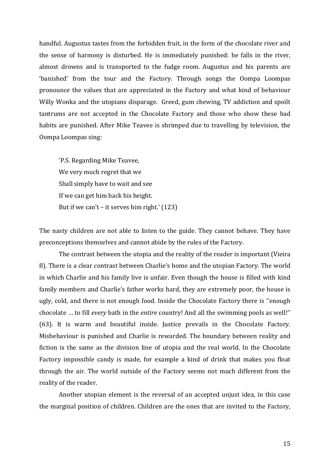handful. Augustus tastes from the forbidden fruit, in the form of the chocolate river and the sense of harmony is disturbed. He is immediately punished: he falls in the river, almost drowns and is transported to the fudge room. Augustus and his parents are 'banished' from the tour and the Factory. Through songs the Oompa Loompas pronounce the values that are appreciated in the Factory and what kind of behaviour Willy Wonka and the utopians disparage. Greed, gum chewing, TV addiction and spoilt tantrums are not accepted in the Chocolate Factory and those who show these bad habits are punished. After Mike Teavee is shrimped due to travelling by television, the Oompa Loompas sing:

'P.S. Regarding Mike Teavee, We very much regret that we Shall simply have to wait and see If we can get him back his height. But if we can't – it serves him right.'  $(123)$ 

The nasty children are not able to listen to the guide. They cannot behave. They have preconceptions themselves and cannot abide by the rules of the Factory.

The contrast between the utopia and the reality of the reader is important (Vieira) 8). There is a clear contrast between Charlie's home and the utopian Factory. The world in which Charlie and his family live is unfair. Even though the house is filled with kind family members and Charlie's father works hard, they are extremely poor, the house is ugly, cold, and there is not enough food. Inside the Chocolate Factory there is "enough chocolate ... to fill *every* bath in the *entire* country! And all the swimming pools as well!"  $(63)$ . It is warm and beautiful inside. Justice prevails in the Chocolate Factory. Misbehaviour is punished and Charlie is rewarded. The boundary between reality and fiction is the same as the division line of utopia and the real world. In the Chocolate Factory impossible candy is made, for example a kind of drink that makes you float through the air. The world outside of the Factory seems not much different from the reality of the reader.

Another utopian element is the reversal of an accepted unjust idea, in this case the marginal position of children. Children are the ones that are invited to the Factory,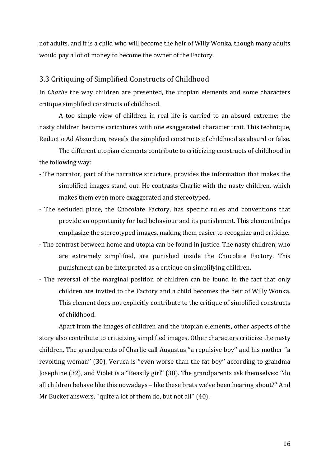not adults, and it is a child who will become the heir of Willy Wonka, though many adults would pay a lot of money to become the owner of the Factory.

## 3.3 Critiquing of Simplified Constructs of Childhood

In *Charlie* the way children are presented, the utopian elements and some characters critique simplified constructs of childhood.

A too simple view of children in real life is carried to an absurd extreme: the nasty children become caricatures with one exaggerated character trait. This technique, Reductio Ad Absurdum, reveals the simplified constructs of childhood as absurd or false.

The different utopian elements contribute to criticizing constructs of childhood in the following way:

- The narrator, part of the narrative structure, provides the information that makes the simplified images stand out. He contrasts Charlie with the nasty children, which makes them even more exaggerated and stereotyped.
- The secluded place, the Chocolate Factory, has specific rules and conventions that provide an opportunity for bad behaviour and its punishment. This element helps emphasize the stereotyped images, making them easier to recognize and criticize.
- The contrast between home and utopia can be found in justice. The nasty children, who are extremely simplified, are punished inside the Chocolate Factory. This punishment can be interpreted as a critique on simplifying children.
- The reversal of the marginal position of children can be found in the fact that only children are invited to the Factory and a child becomes the heir of Willy Wonka. This element does not explicitly contribute to the critique of simplified constructs of childhood.

Apart from the images of children and the utopian elements, other aspects of the story also contribute to criticizing simplified images. Other characters criticize the nasty children. The grandparents of Charlie call Augustus "a repulsive boy" and his mother "a revolting woman" (30). Veruca is "even worse than the fat boy" according to grandma Josephine (32), and Violet is a "Beastly girl" (38). The grandparents ask themselves: "do" all children behave like this nowadays – like these brats we've been hearing about?" And Mr Bucket answers, "quite a lot of them do, but not all" (40).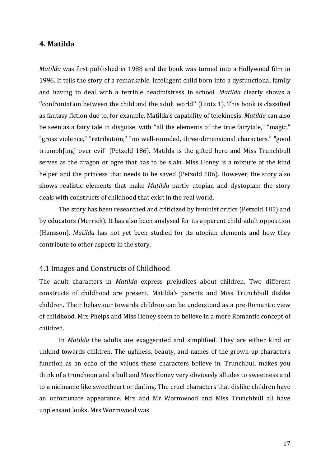#### **4.(Matilda**

*Matilda* was first published in 1988 and the book was turned into a Hollywood film in 1996. It tells the story of a remarkable, intelligent child born into a dysfunctional family and having to deal with a terrible headmistress in school. Matilda clearly shows a "confrontation between the child and the adult world" (Hintz 1). This book is classified as fantasy fiction due to, for example, Matilda's capability of telekinesis. Matilda can also be seen as a fairy tale in disguise, with "all the elements of the true fairytale," "magic," "gross violence," "retribution," "no well-rounded, three-dimensional characters," "good triumph[ing] over evil" (Petzold 186). Matilda is the gifted hero and Miss Trunchbull serves as the dragon or ogre that has to be slain. Miss Honey is a mixture of the kind helper and the princess that needs to be saved (Petzold 186). However, the story also shows realistic elements that make *Matilda* partly utopian and dystopian: the story deals with constructs of childhood that exist in the real world.

The story has been researched and criticized by feminist critics (Petzold 185) and by educators (Merrick). It has also been analysed for its apparent child-adult opposition (Hansson). *Matilda* has not yet been studied for its utopian elements and how they contribute to other aspects in the story.

#### 4.1 Images and Constructs of Childhood

The adult characters in *Matilda* express prejudices about children. Two different constructs of childhood are present. Matilda's parents and Miss Trunchbull dislike children. Their behaviour towards children can be understood as a pre-Romantic view of childhood. Mrs Phelps and Miss Honey seem to believe in a more Romantic concept of children.%

In *Matilda* the adults are exaggerated and simplified. They are either kind or unkind towards children. The ugliness, beauty, and names of the grown-up characters function as an echo of the values these characters believe in. Trunchbull makes you think of a truncheon and a bull and Miss Honey very obviously alludes to sweetness and to a nickname like sweetheart or darling. The cruel characters that dislike children have an unfortunate appearance. Mrs and Mr Wormwood and Miss Trunchbull all have unpleasant looks. Mrs Wormwood was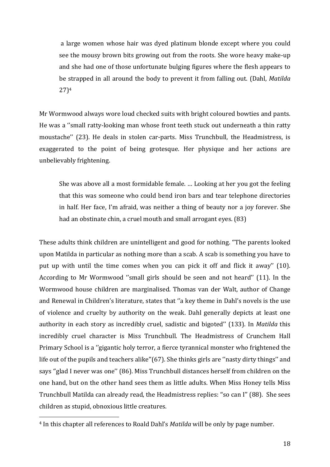a large women whose hair was dyed platinum blonde except where you could see the mousy brown bits growing out from the roots. She wore heavy make-up and she had one of those unfortunate bulging figures where the flesh appears to be strapped in all around the body to prevent it from falling out. (Dahl, *Matilda*  $27)4$ 

Mr Wormwood always wore loud checked suits with bright coloured bowties and pants. He was a "small ratty-looking man whose front teeth stuck out underneath a thin ratty moustache" (23). He deals in stolen car-parts. Miss Trunchbull, the Headmistress, is exaggerated to the point of being grotesque. Her physique and her actions are unbelievably frightening.

She was above all a most formidable female. ... Looking at her you got the feeling that this was someone who could bend iron bars and tear telephone directories in half. Her face, I'm afraid, was neither a thing of beauty nor a joy forever. She had an obstinate chin, a cruel mouth and small arrogant eyes. (83)

These adults think children are unintelligent and good for nothing. "The parents looked upon Matilda in particular as nothing more than a scab. A scab is something you have to put up with until the time comes when you can pick it off and flick it away" (10). According to Mr Wormwood "small girls should be seen and not heard" (11). In the Wormwood house children are marginalised. Thomas van der Walt, author of Change and Renewal in Children's literature, states that "a key theme in Dahl's novels is the use of violence and cruelty by authority on the weak. Dahl generally depicts at least one authority in each story as incredibly cruel, sadistic and bigoted" (133). In *Matilda* this incredibly cruel character is Miss Trunchbull. The Headmistress of Crunchem Hall Primary School is a "gigantic holy terror, a fierce tyrannical monster who frightened the life out of the pupils and teachers alike"(67). She thinks girls are "nasty dirty things" and says "glad I never was one" (86). Miss Trunchbull distances herself from children on the one hand, but on the other hand sees them as little adults. When Miss Honey tells Miss Trunchbull Matilda can already read, the Headmistress replies: "so can I" (88). She sees children as stupid, obnoxious little creatures.

%%%%%%%%%%%%%%%%%%%%%%%%%%%%%%%%%%%%%%%%%%%%%%%%%%%%%%%

<sup>&</sup>lt;sup>4</sup> In this chapter all references to Roald Dahl's *Matilda* will be only by page number.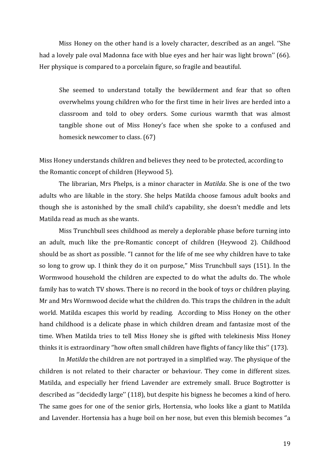Miss Honey on the other hand is a lovely character, described as an angel. "She had a lovely pale oval Madonna face with blue eyes and her hair was light brown" (66). Her physique is compared to a porcelain figure, so fragile and beautiful.

She seemed to understand totally the bewilderment and fear that so often overwhelms young children who for the first time in heir lives are herded into a classroom and told to obey orders. Some curious warmth that was almost tangible shone out of Miss Honey's face when she spoke to a confused and homesick newcomer to class. (67)

Miss Honey understands children and believes they need to be protected, according to the Romantic concept of children (Heywood 5).

The librarian, Mrs Phelps, is a minor character in *Matilda*. She is one of the two adults who are likable in the story. She helps Matilda choose famous adult books and though she is astonished by the small child's capability, she doesn't meddle and lets Matilda read as much as she wants.

Miss Trunchbull sees childhood as merely a deplorable phase before turning into an adult, much like the pre-Romantic concept of children (Heywood 2). Childhood should be as short as possible. "I cannot for the life of me see why children have to take so long to grow up. I think they do it on purpose," Miss Trunchbull says (151). In the Wormwood household the children are expected to do what the adults do. The whole family has to watch TV shows. There is no record in the book of toys or children playing. Mr and Mrs Wormwood decide what the children do. This traps the children in the adult world. Matilda escapes this world by reading. According to Miss Honey on the other hand childhood is a delicate phase in which children dream and fantasize most of the time. When Matilda tries to tell Miss Honey she is gifted with telekinesis Miss Honey thinks it is extraordinary "how often small children have flights of fancy like this" (173).

In *Matilda* the children are not portrayed in a simplified way. The physique of the children is not related to their character or behaviour. They come in different sizes. Matilda, and especially her friend Lavender are extremely small. Bruce Bogtrotter is described as "decidedly large" (118), but despite his bigness he becomes a kind of hero. The same goes for one of the senior girls, Hortensia, who looks like a giant to Matilda and Lavender. Hortensia has a huge boil on her nose, but even this blemish becomes "a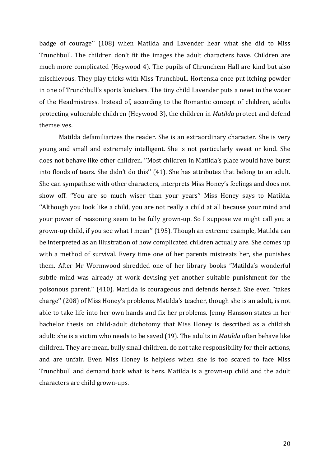badge of courage" (108) when Matilda and Lavender hear what she did to Miss Trunchbull. The children don't fit the images the adult characters have. Children are much more complicated (Heywood 4). The pupils of Chrunchem Hall are kind but also mischievous. They play tricks with Miss Trunchbull. Hortensia once put itching powder in one of Trunchbull's sports knickers. The tiny child Lavender puts a newt in the water of the Headmistress. Instead of, according to the Romantic concept of children, adults protecting vulnerable children (Heywood 3), the children in *Matilda* protect and defend themselves.

Matilda defamiliarizes the reader. She is an extraordinary character. She is very young and small and extremely intelligent. She is not particularly sweet or kind. She does not behave like other children. "Most children in Matilda's place would have burst into floods of tears. She didn't do this" (41). She has attributes that belong to an adult. She can sympathise with other characters, interprets Miss Honey's feelings and does not show off. "You are so much wiser than your years" Miss Honey says to Matilda. "Although you look like a child, you are not really a child at all because your mind and your power of reasoning seem to be fully grown-up. So I suppose we might call you a grown-up child, if you see what I mean" (195). Though an extreme example, Matilda can be interpreted as an illustration of how complicated children actually are. She comes up with a method of survival. Every time one of her parents mistreats her, she punishes them. After Mr Wormwood shredded one of her library books "Matilda's wonderful subtle mind was already at work devising yet another suitable punishment for the poisonous parent." (410). Matilda is courageous and defends herself. She even "takes" charge" (208) of Miss Honey's problems. Matilda's teacher, though she is an adult, is not able to take life into her own hands and fix her problems. Jenny Hansson states in her bachelor thesis on child-adult dichotomy that Miss Honey is described as a childish adult: she is a victim who needs to be saved (19). The adults in *Matilda* often behave like children. They are mean, bully small children, do not take responsibility for their actions, and are unfair. Even Miss Honey is helpless when she is too scared to face Miss Trunchbull and demand back what is hers. Matilda is a grown-up child and the adult characters are child grown-ups.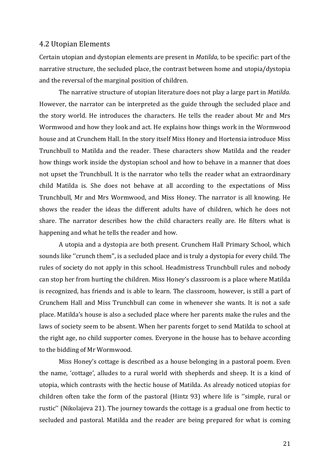#### 4.2 Utopian Elements

Certain utopian and dystopian elements are present in *Matilda*, to be specific: part of the narrative structure, the secluded place, the contrast between home and utopia/dystopia and the reversal of the marginal position of children.

The narrative structure of utopian literature does not play a large part in *Matilda*. However, the narrator can be interpreted as the guide through the secluded place and the story world. He introduces the characters. He tells the reader about Mr and Mrs Wormwood and how they look and act. He explains how things work in the Wormwood house and at Crunchem Hall. In the story itself Miss Honey and Hortensia introduce Miss Trunchbull to Matilda and the reader. These characters show Matilda and the reader how things work inside the dystopian school and how to behave in a manner that does not upset the Trunchbull. It is the narrator who tells the reader what an extraordinary child Matilda is. She does not behave at all according to the expectations of Miss Trunchbull, Mr and Mrs Wormwood, and Miss Honey. The narrator is all knowing. He shows the reader the ideas the different adults have of children, which he does not share. The narrator describes how the child characters really are. He filters what is happening and what he tells the reader and how.

A utopia and a dystopia are both present. Crunchem Hall Primary School, which sounds like "crunch them", is a secluded place and is truly a dystopia for every child. The rules of society do not apply in this school. Headmistress Trunchbull rules and nobody can stop her from hurting the children. Miss Honey's classroom is a place where Matilda is recognized, has friends and is able to learn. The classroom, however, is still a part of Crunchem Hall and Miss Trunchbull can come in whenever she wants. It is not a safe place. Matilda's house is also a secluded place where her parents make the rules and the laws of society seem to be absent. When her parents forget to send Matilda to school at the right age, no child supporter comes. Everyone in the house has to behave according to the bidding of Mr Wormwood.

Miss Honey's cottage is described as a house belonging in a pastoral poem. Even the name, 'cottage', alludes to a rural world with shepherds and sheep. It is a kind of utopia, which contrasts with the hectic house of Matilda. As already noticed utopias for children often take the form of the pastoral (Hintz 93) where life is "simple, rural or rustic" (Nikolajeva 21). The journey towards the cottage is a gradual one from hectic to secluded and pastoral. Matilda and the reader are being prepared for what is coming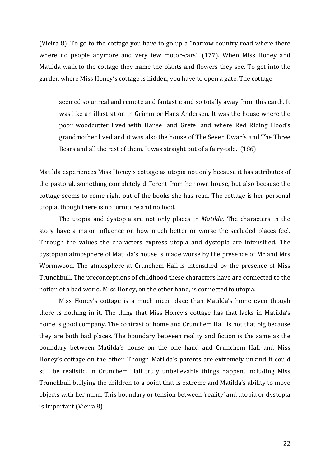(Vieira 8). To go to the cottage you have to go up a "narrow country road where there where no people anymore and very few motor-cars" (177). When Miss Honey and Matilda walk to the cottage they name the plants and flowers they see. To get into the garden where Miss Honey's cottage is hidden, you have to open a gate. The cottage

seemed so unreal and remote and fantastic and so totally away from this earth. It was like an illustration in Grimm or Hans Andersen. It was the house where the poor woodcutter lived with Hansel and Gretel and where Red Riding Hood's grandmother lived and it was also the house of The Seven Dwarfs and The Three Bears and all the rest of them. It was straight out of a fairy-tale. (186)

Matilda experiences Miss Honey's cottage as utopia not only because it has attributes of the pastoral, something completely different from her own house, but also because the cottage seems to come right out of the books she has read. The cottage is her personal utopia, though there is no furniture and no food.

The utopia and dystopia are not only places in *Matilda*. The characters in the story have a major influence on how much better or worse the secluded places feel. Through the values the characters express utopia and dystopia are intensified. The dystopian atmosphere of Matilda's house is made worse by the presence of Mr and Mrs Wormwood. The atmosphere at Crunchem Hall is intensified by the presence of Miss Trunchbull. The preconceptions of childhood these characters have are connected to the notion of a bad world. Miss Honey, on the other hand, is connected to utopia.

Miss Honey's cottage is a much nicer place than Matilda's home even though there is nothing in it. The thing that Miss Honey's cottage has that lacks in Matilda's home is good company. The contrast of home and Crunchem Hall is not that big because they are both bad places. The boundary between reality and fiction is the same as the boundary between Matilda's house on the one hand and Crunchem Hall and Miss Honey's cottage on the other. Though Matilda's parents are extremely unkind it could still be realistic. In Crunchem Hall truly unbelievable things happen, including Miss Trunchbull bullying the children to a point that is extreme and Matilda's ability to move objects with her mind. This boundary or tension between 'reality' and utopia or dystopia is important (Vieira  $8$ ).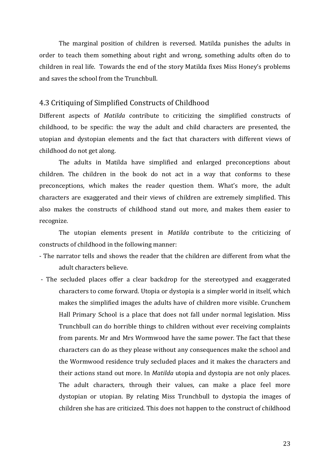The marginal position of children is reversed. Matilda punishes the adults in order to teach them something about right and wrong, something adults often do to children in real life. Towards the end of the story Matilda fixes Miss Honey's problems and saves the school from the Trunchbull.

#### 4.3 Critiquing of Simplified Constructs of Childhood

Different aspects of *Matilda* contribute to criticizing the simplified constructs of childhood, to be specific: the way the adult and child characters are presented, the utopian and dystopian elements and the fact that characters with different views of childhood do not get along.

The adults in Matilda have simplified and enlarged preconceptions about children. The children in the book do not act in a way that conforms to these preconceptions, which makes the reader question them. What's more, the adult characters are exaggerated and their views of children are extremely simplified. This also makes the constructs of childhood stand out more, and makes them easier to recognize.

The utopian elements present in *Matilda* contribute to the criticizing of constructs of childhood in the following manner:

- The narrator tells and shows the reader that the children are different from what the adult characters believe.
- The secluded places offer a clear backdrop for the stereotyped and exaggerated characters to come forward. Utopia or dystopia is a simpler world in itself, which makes the simplified images the adults have of children more visible. Crunchem Hall Primary School is a place that does not fall under normal legislation. Miss Trunchbull can do horrible things to children without ever receiving complaints from parents. Mr and Mrs Wormwood have the same power. The fact that these characters can do as they please without any consequences make the school and the Wormwood residence truly secluded places and it makes the characters and their actions stand out more. In *Matilda* utopia and dystopia are not only places. The adult characters, through their values, can make a place feel more dystopian or utopian. By relating Miss Trunchbull to dystopia the images of children she has are criticized. This does not happen to the construct of childhood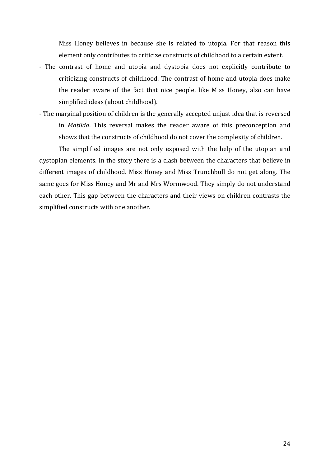Miss Honey believes in because she is related to utopia. For that reason this element only contributes to criticize constructs of childhood to a certain extent.

- The contrast of home and utopia and dystopia does not explicitly contribute to criticizing constructs of childhood. The contrast of home and utopia does make the reader aware of the fact that nice people, like Miss Honey, also can have simplified ideas (about childhood).
- The marginal position of children is the generally accepted unjust idea that is reversed in *Matilda*. This reversal makes the reader aware of this preconception and shows that the constructs of childhood do not cover the complexity of children.

The simplified images are not only exposed with the help of the utopian and dystopian elements. In the story there is a clash between the characters that believe in different images of childhood. Miss Honey and Miss Trunchbull do not get along. The same goes for Miss Honey and Mr and Mrs Wormwood. They simply do not understand each other. This gap between the characters and their views on children contrasts the simplified constructs with one another.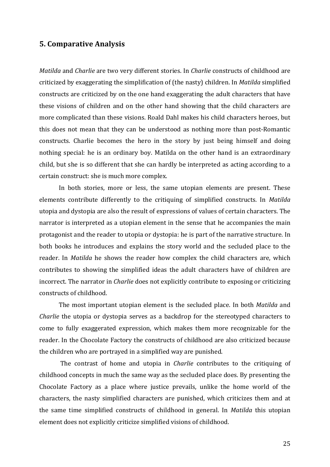## **5. Comparative Analysis**

*Matilda* and *Charlie* are two very different stories. In *Charlie* constructs of childhood are criticized by exaggerating the simplification of (the nasty) children. In *Matilda* simplified constructs are criticized by on the one hand exaggerating the adult characters that have these visions of children and on the other hand showing that the child characters are more complicated than these visions. Roald Dahl makes his child characters heroes, but this does not mean that they can be understood as nothing more than post-Romantic constructs. Charlie becomes the hero in the story by just being himself and doing nothing special: he is an ordinary boy. Matilda on the other hand is an extraordinary child, but she is so different that she can hardly be interpreted as acting according to a certain construct: she is much more complex.

In both stories, more or less, the same utopian elements are present. These elements contribute differently to the critiquing of simplified constructs. In *Matilda* utopia and dystopia are also the result of expressions of values of certain characters. The narrator is interpreted as a utopian element in the sense that he accompanies the main protagonist and the reader to utopia or dystopia: he is part of the narrative structure. In both books he introduces and explains the story world and the secluded place to the reader. In *Matilda* he shows the reader how complex the child characters are, which contributes to showing the simplified ideas the adult characters have of children are incorrect. The narrator in *Charlie* does not explicitly contribute to exposing or criticizing constructs of childhood.

The most important utopian element is the secluded place. In both *Matilda* and *Charlie* the utopia or dystopia serves as a backdrop for the stereotyped characters to come to fully exaggerated expression, which makes them more recognizable for the reader. In the Chocolate Factory the constructs of childhood are also criticized because the children who are portrayed in a simplified way are punished.

The contrast of home and utopia in *Charlie* contributes to the critiquing of childhood concepts in much the same way as the secluded place does. By presenting the Chocolate Factory as a place where justice prevails, unlike the home world of the characters, the nasty simplified characters are punished, which criticizes them and at the same time simplified constructs of childhood in general. In *Matilda* this utopian element does not explicitly criticize simplified visions of childhood.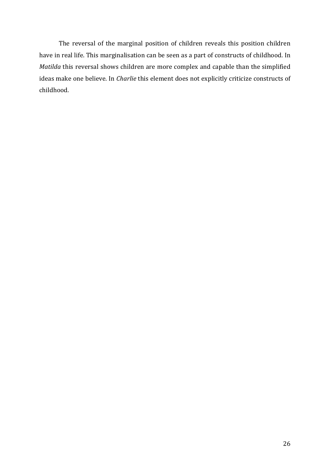The reversal of the marginal position of children reveals this position children have in real life. This marginalisation can be seen as a part of constructs of childhood. In *Matilda* this reversal shows children are more complex and capable than the simplified ideas make one believe. In *Charlie* this element does not explicitly criticize constructs of childhood.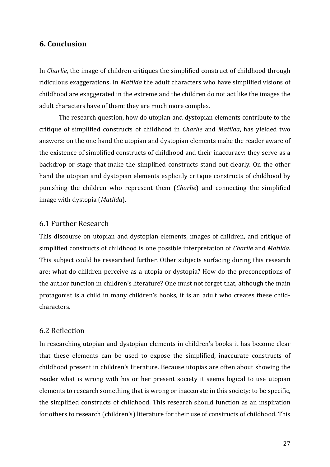## **6.(Conclusion**

In *Charlie*, the image of children critiques the simplified construct of childhood through ridiculous exaggerations. In *Matilda* the adult characters who have simplified visions of childhood are exaggerated in the extreme and the children do not act like the images the adult characters have of them: they are much more complex.

The research question, how do utopian and dystopian elements contribute to the critique of simplified constructs of childhood in *Charlie* and *Matilda*, has yielded two answers: on the one hand the utopian and dystopian elements make the reader aware of the existence of simplified constructs of childhood and their inaccuracy: they serve as a backdrop or stage that make the simplified constructs stand out clearly. On the other hand the utopian and dystopian elements explicitly critique constructs of childhood by punishing the children who represent them *(Charlie)* and connecting the simplified image with dystopia (*Matilda*).

#### 6.1 Further Research

This discourse on utopian and dystopian elements, images of children, and critique of simplified constructs of childhood is one possible interpretation of *Charlie* and *Matilda*. This subject could be researched further. Other subjects surfacing during this research are: what do children perceive as a utopia or dystopia? How do the preconceptions of the author function in children's literature? One must not forget that, although the main protagonist is a child in many children's books, it is an adult who creates these childcharacters.

## 6.2%Reflection%

In researching utopian and dystopian elements in children's books it has become clear that these elements can be used to expose the simplified, inaccurate constructs of childhood present in children's literature. Because utopias are often about showing the reader what is wrong with his or her present society it seems logical to use utopian elements to research something that is wrong or inaccurate in this society: to be specific, the simplified constructs of childhood. This research should function as an inspiration for others to research (children's) literature for their use of constructs of childhood. This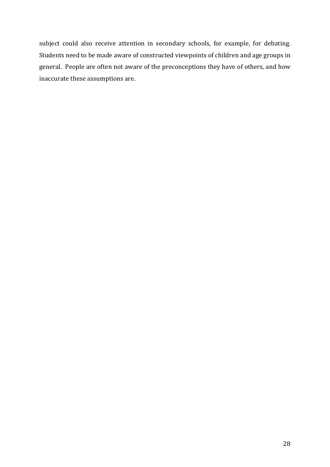subject could also receive attention in secondary schools, for example, for debating. Students need to be made aware of constructed viewpoints of children and age groups in general. People are often not aware of the preconceptions they have of others, and how inaccurate these assumptions are.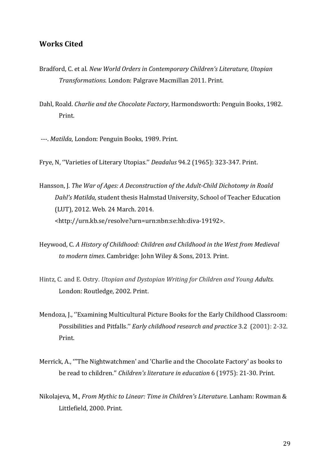## **Works Cited**

- Bradford, C. et al. *New World Orders in Contemporary Children's Literature, Utopian* **Transformations. London: Palgrave Macmillan 2011. Print.**
- Dahl, Roald. *Charlie and the Chocolate Factory*, Harmondsworth: Penguin Books, 1982. Print.
- ---. Matilda, London: Penguin Books, 1989. Print.

Frye, N, "Varieties of Literary Utopias." *Deadalus* 94.2 (1965): 323-347. Print.

- Hansson, J. *The War of Ages: A Deconstruction of the Adult-Child Dichotomy in Roald Dahl's Matilda, student thesis Halmstad University, School of Teacher Education* (LUT), 2012. Web. 24 March. 2014. <http://urn.kb.se/resolve?urn=urn:nbn:se:hh:diva]19192>.
- Heywood, C. A History of Childhood: Children and Childhood in the West from Medieval to modern times. Cambridge: John Wiley & Sons, 2013. Print.
- Hintz, C. and E. Ostry. *Utopian and Dystopian Writing for Children and Young Adults.* London: Routledge, 2002. Print.
- Mendoza, J., "Examining Multicultural Picture Books for the Early Childhood Classroom: Possibilities and Pitfalls." *Early childhood research and practice* 3.2 (2001): 2-32. Print.
- Merrick, A., "The Nightwatchmen' and 'Charlie and the Chocolate Factory' as books to be read to children." *Children's literature in education* 6 (1975): 21-30. Print.
- Nikolajeva, M., *From Mythic to Linear: Time in Children's Literature*. Lanham: Rowman & Littlefield, 2000. Print.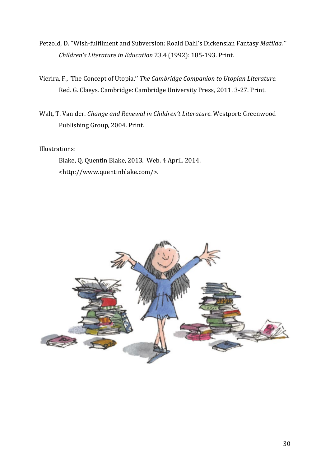- Petzold, D. "Wish-fulfilment and Subversion: Roald Dahl's Dickensian Fantasy Matilda." *Children's Literature in Education 23.4 (1992): 185-193. Print.*
- Vierira, F., 'The Concept of Utopia." *The Cambridge Companion to Utopian Literature.* Red. G. Claeys. Cambridge: Cambridge University Press, 2011. 3-27. Print.
- Walt, T. Van der. *Change and Renewal in Children't Literature*. Westport: Greenwood Publishing Group, 2004. Print.

Illustrations:

Blake, Q. Quentin Blake, 2013. Web. 4 April. 2014. <http://www.quentinblake.com/>.

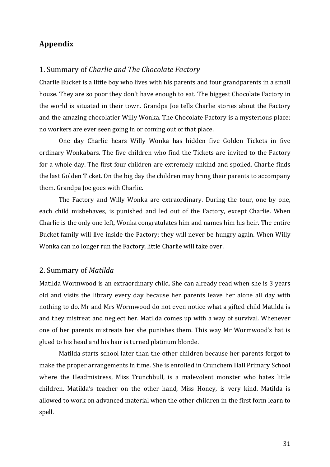## **Appendix(**

## 1. Summary of *Charlie and The Chocolate Factory*

Charlie Bucket is a little boy who lives with his parents and four grandparents in a small house. They are so poor they don't have enough to eat. The biggest Chocolate Factory in the world is situated in their town. Grandpa Joe tells Charlie stories about the Factory and the amazing chocolatier Willy Wonka. The Chocolate Factory is a mysterious place: no workers are ever seen going in or coming out of that place.

One day Charlie hears Willy Wonka has hidden five Golden Tickets in five ordinary Wonkabars. The five children who find the Tickets are invited to the Factory for a whole day. The first four children are extremely unkind and spoiled. Charlie finds the last Golden Ticket. On the big day the children may bring their parents to accompany them. Grandpa Joe goes with Charlie.

The Factory and Willy Wonka are extraordinary. During the tour, one by one, each child misbehaves, is punished and led out of the Factory, except Charlie. When Charlie is the only one left, Wonka congratulates him and names him his heir. The entire Bucket family will live inside the Factory; they will never be hungry again. When Willy Wonka can no longer run the Factory, little Charlie will take over.

#### 2.%Summary%of%*Matilda*

Matilda Wormwood is an extraordinary child. She can already read when she is 3 years old and visits the library every day because her parents leave her alone all day with nothing to do. Mr and Mrs Wormwood do not even notice what a gifted child Matilda is and they mistreat and neglect her. Matilda comes up with a way of survival. Whenever one of her parents mistreats her she punishes them. This way Mr Wormwood's hat is glued to his head and his hair is turned platinum blonde.

Matilda starts school later than the other children because her parents forgot to make the proper arrangements in time. She is enrolled in Crunchem Hall Primary School where the Headmistress, Miss Trunchbull, is a malevolent monster who hates little children. Matilda's teacher on the other hand, Miss Honey, is very kind. Matilda is allowed to work on advanced material when the other children in the first form learn to spell.